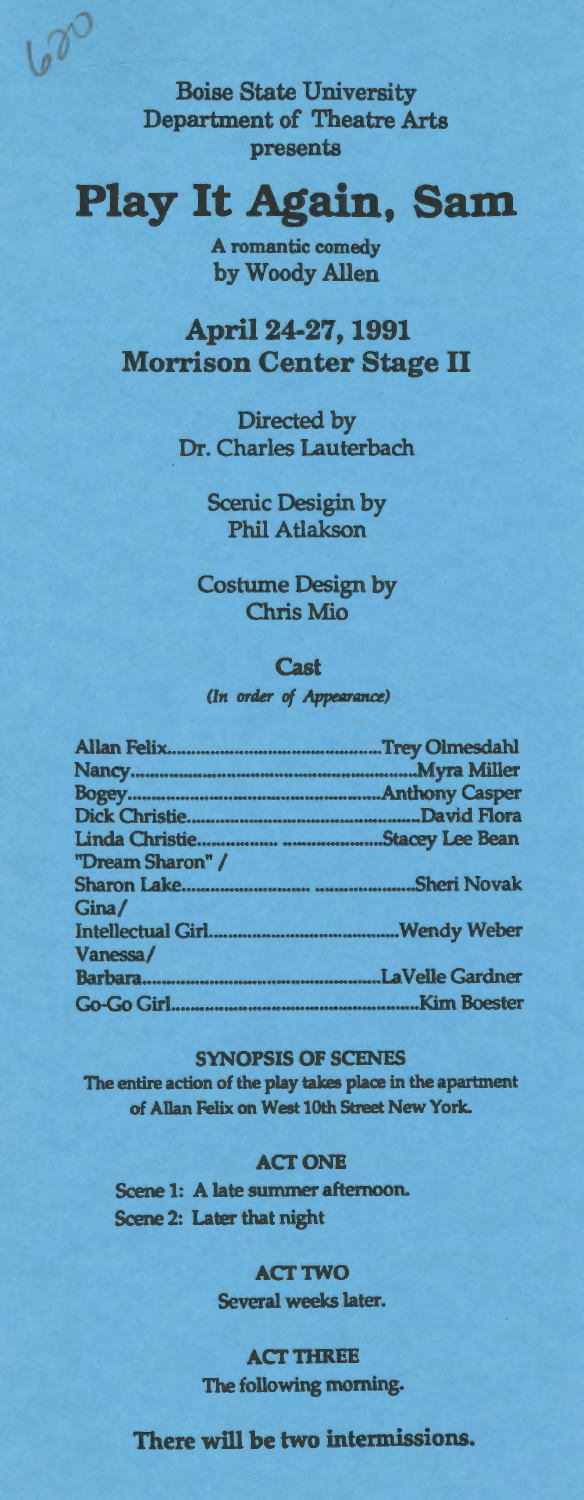Boise State University Department of Theatre Arts presents

600

# **Play It Again, Sam**

A romantic comedy by Woody Allen

April 24-27, 1991 Morrison Center Stage II

> Directed by Dr. Charles Lauterbach

> > Scenic Desigin by Phil Atlakson

Costume Design by Chris Mio

#### **Cast**

*(In order of Appearance)* 

| "Dream Sharon" / |  |
|------------------|--|
|                  |  |
| Gina/            |  |
|                  |  |
| Vanessa/         |  |
|                  |  |
|                  |  |
|                  |  |

#### SYNOPSIS OF SCENES

The entire action of the play takes place in the apartment of Allan Felix on West lOth Street New York.

## **ACT ONE**

Scene 1: A late summer afternoon. Scene 2: Later that night

## **ACT TWO**

Several weeks later.

### **ACT THREE**

The following morning.

## There will be two intermissions.